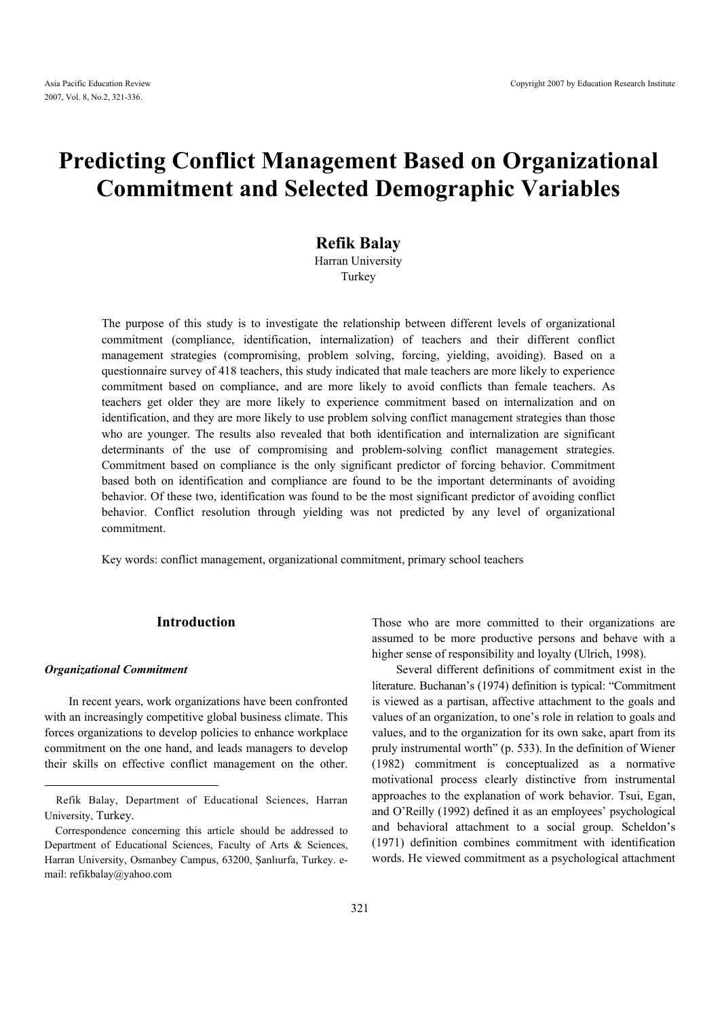# **Predicting Conflict Management Based on Organizational Commitment and Selected Demographic Variables**

# **Refik Balay**  Harran University Turkey

The purpose of this study is to investigate the relationship between different levels of organizational commitment (compliance, identification, internalization) of teachers and their different conflict management strategies (compromising, problem solving, forcing, yielding, avoiding). Based on a questionnaire survey of 418 teachers, this study indicated that male teachers are more likely to experience commitment based on compliance, and are more likely to avoid conflicts than female teachers. As teachers get older they are more likely to experience commitment based on internalization and on identification, and they are more likely to use problem solving conflict management strategies than those who are younger. The results also revealed that both identification and internalization are significant determinants of the use of compromising and problem-solving conflict management strategies. Commitment based on compliance is the only significant predictor of forcing behavior. Commitment based both on identification and compliance are found to be the important determinants of avoiding behavior. Of these two, identification was found to be the most significant predictor of avoiding conflict behavior. Conflict resolution through yielding was not predicted by any level of organizational commitment.

Key words: conflict management, organizational commitment, primary school teachers

# **Introduction**

#### *Organizational Commitment* **<sup>1</sup>**

 $\overline{a}$ 

In recent years, work organizations have been confronted with an increasingly competitive global business climate. This forces organizations to develop policies to enhance workplace commitment on the one hand, and leads managers to develop their skills on effective conflict management on the other.

Those who are more committed to their organizations are assumed to be more productive persons and behave with a higher sense of responsibility and loyalty (Ulrich, 1998).

Several different definitions of commitment exist in the literature. Buchanan's (1974) definition is typical: "Commitment is viewed as a partisan, affective attachment to the goals and values of an organization, to one's role in relation to goals and values, and to the organization for its own sake, apart from its pruly instrumental worth" (p. 533). In the definition of Wiener (1982) commitment is conceptualized as a normative motivational process clearly distinctive from instrumental approaches to the explanation of work behavior. Tsui, Egan, and O'Reilly (1992) defined it as an employees' psychological and behavioral attachment to a social group. Scheldon's (1971) definition combines commitment with identification words. He viewed commitment as a psychological attachment

Refik Balay, Department of Educational Sciences, Harran University, Turkey.

Correspondence concerning this article should be addressed to Department of Educational Sciences, Faculty of Arts & Sciences, Harran University, Osmanbey Campus, 63200, Şanlıurfa, Turkey. email: refikbalay@yahoo.com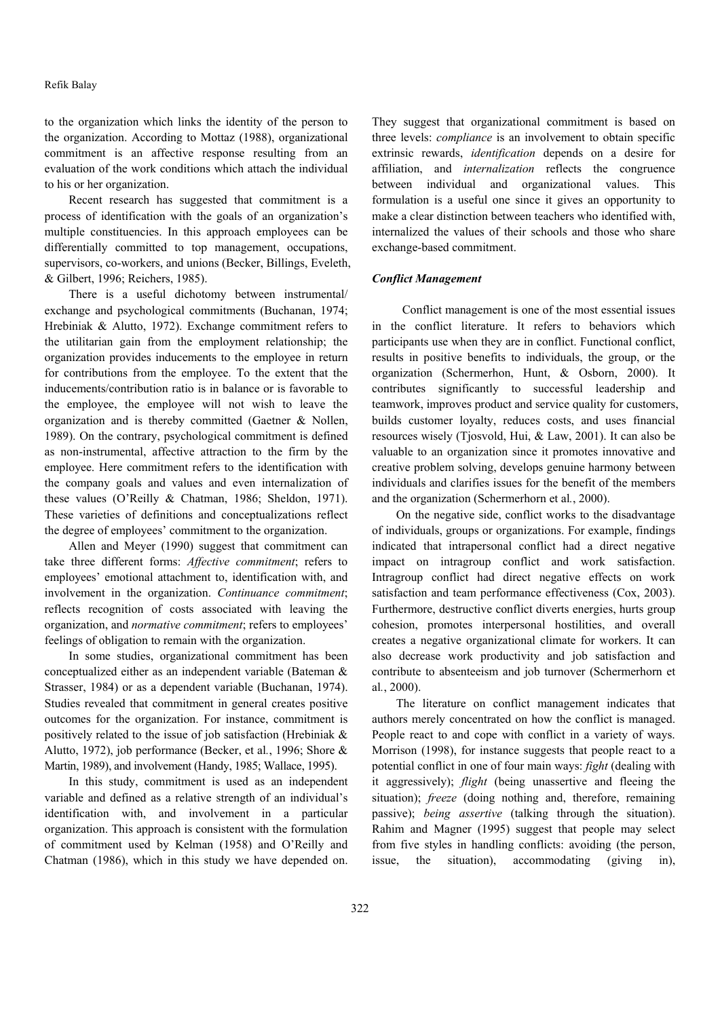to the organization which links the identity of the person to the organization. According to Mottaz (1988), organizational commitment is an affective response resulting from an evaluation of the work conditions which attach the individual to his or her organization.

Recent research has suggested that commitment is a process of identification with the goals of an organization's multiple constituencies. In this approach employees can be differentially committed to top management, occupations, supervisors, co-workers, and unions (Becker, Billings, Eveleth, & Gilbert, 1996; Reichers, 1985).

There is a useful dichotomy between instrumental/ exchange and psychological commitments (Buchanan, 1974; Hrebiniak & Alutto, 1972). Exchange commitment refers to the utilitarian gain from the employment relationship; the organization provides inducements to the employee in return for contributions from the employee. To the extent that the inducements/contribution ratio is in balance or is favorable to the employee, the employee will not wish to leave the organization and is thereby committed (Gaetner & Nollen, 1989). On the contrary, psychological commitment is defined as non-instrumental, affective attraction to the firm by the employee. Here commitment refers to the identification with the company goals and values and even internalization of these values (O'Reilly & Chatman, 1986; Sheldon, 1971). These varieties of definitions and conceptualizations reflect the degree of employees' commitment to the organization.

Allen and Meyer (1990) suggest that commitment can take three different forms: *Affective commitment*; refers to employees' emotional attachment to, identification with, and involvement in the organization. *Continuance commitment*; reflects recognition of costs associated with leaving the organization, and *normative commitment*; refers to employees' feelings of obligation to remain with the organization.

In some studies, organizational commitment has been conceptualized either as an independent variable (Bateman & Strasser, 1984) or as a dependent variable (Buchanan, 1974). Studies revealed that commitment in general creates positive outcomes for the organization. For instance, commitment is positively related to the issue of job satisfaction (Hrebiniak & Alutto, 1972), job performance (Becker, et al*.*, 1996; Shore & Martin, 1989), and involvement (Handy, 1985; Wallace, 1995).

In this study, commitment is used as an independent variable and defined as a relative strength of an individual's identification with, and involvement in a particular organization. This approach is consistent with the formulation of commitment used by Kelman (1958) and O'Reilly and Chatman (1986), which in this study we have depended on. They suggest that organizational commitment is based on three levels: *compliance* is an involvement to obtain specific extrinsic rewards, *identification* depends on a desire for affiliation, and *internalization* reflects the congruence between individual and organizational values. This formulation is a useful one since it gives an opportunity to make a clear distinction between teachers who identified with, internalized the values of their schools and those who share exchange-based commitment.

#### *Conflict Management*

 Conflict management is one of the most essential issues in the conflict literature. It refers to behaviors which participants use when they are in conflict. Functional conflict, results in positive benefits to individuals, the group, or the organization (Schermerhon, Hunt, & Osborn, 2000). It contributes significantly to successful leadership and teamwork, improves product and service quality for customers, builds customer loyalty, reduces costs, and uses financial resources wisely (Tjosvold, Hui, & Law, 2001). It can also be valuable to an organization since it promotes innovative and creative problem solving, develops genuine harmony between individuals and clarifies issues for the benefit of the members and the organization (Schermerhorn et al*.*, 2000).

On the negative side, conflict works to the disadvantage of individuals, groups or organizations. For example, findings indicated that intrapersonal conflict had a direct negative impact on intragroup conflict and work satisfaction. Intragroup conflict had direct negative effects on work satisfaction and team performance effectiveness (Cox, 2003). Furthermore, destructive conflict diverts energies, hurts group cohesion, promotes interpersonal hostilities, and overall creates a negative organizational climate for workers. It can also decrease work productivity and job satisfaction and contribute to absenteeism and job turnover (Schermerhorn et al*.*, 2000).

The literature on conflict management indicates that authors merely concentrated on how the conflict is managed. People react to and cope with conflict in a variety of ways. Morrison (1998), for instance suggests that people react to a potential conflict in one of four main ways: *fight* (dealing with it aggressively); *flight* (being unassertive and fleeing the situation); *freeze* (doing nothing and, therefore, remaining passive); *being assertive* (talking through the situation). Rahim and Magner (1995) suggest that people may select from five styles in handling conflicts: avoiding (the person, issue, the situation), accommodating (giving in),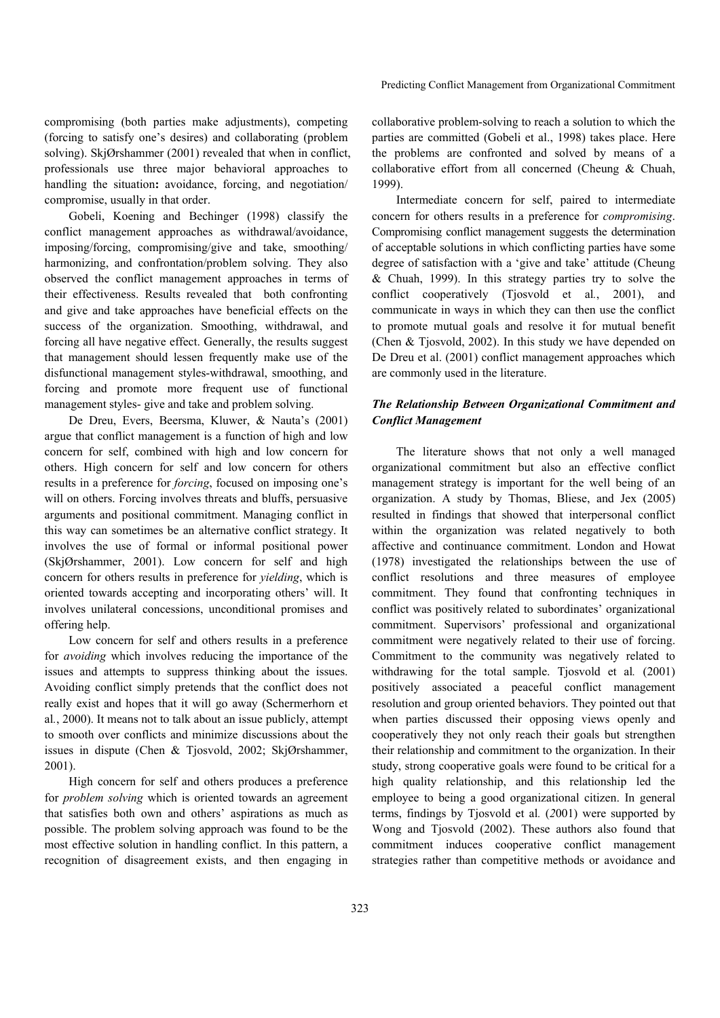compromising (both parties make adjustments), competing (forcing to satisfy one's desires) and collaborating (problem solving). SkjØrshammer (2001) revealed that when in conflict, professionals use three major behavioral approaches to handling the situation**:** avoidance, forcing, and negotiation/ compromise, usually in that order.

Gobeli, Koening and Bechinger (1998) classify the conflict management approaches as withdrawal/avoidance, imposing/forcing, compromising/give and take, smoothing/ harmonizing, and confrontation/problem solving. They also observed the conflict management approaches in terms of their effectiveness. Results revealed that both confronting and give and take approaches have beneficial effects on the success of the organization. Smoothing, withdrawal, and forcing all have negative effect. Generally, the results suggest that management should lessen frequently make use of the disfunctional management styles-withdrawal, smoothing, and forcing and promote more frequent use of functional management styles- give and take and problem solving.

De Dreu, Evers, Beersma, Kluwer, & Nauta's (2001) argue that conflict management is a function of high and low concern for self, combined with high and low concern for others. High concern for self and low concern for others results in a preference for *forcing*, focused on imposing one's will on others. Forcing involves threats and bluffs, persuasive arguments and positional commitment. Managing conflict in this way can sometimes be an alternative conflict strategy. It involves the use of formal or informal positional power (SkjØrshammer, 2001). Low concern for self and high concern for others results in preference for *yielding*, which is oriented towards accepting and incorporating others' will. It involves unilateral concessions, unconditional promises and offering help.

Low concern for self and others results in a preference for *avoiding* which involves reducing the importance of the issues and attempts to suppress thinking about the issues. Avoiding conflict simply pretends that the conflict does not really exist and hopes that it will go away (Schermerhorn et al*.*, 2000). It means not to talk about an issue publicly, attempt to smooth over conflicts and minimize discussions about the issues in dispute (Chen & Tjosvold, 2002; SkjØrshammer, 2001).

High concern for self and others produces a preference for *problem solving* which is oriented towards an agreement that satisfies both own and others' aspirations as much as possible. The problem solving approach was found to be the most effective solution in handling conflict. In this pattern, a recognition of disagreement exists, and then engaging in collaborative problem-solving to reach a solution to which the parties are committed (Gobeli et al., 1998) takes place. Here the problems are confronted and solved by means of a collaborative effort from all concerned (Cheung & Chuah, 1999).

Intermediate concern for self, paired to intermediate concern for others results in a preference for *compromising*. Compromising conflict management suggests the determination of acceptable solutions in which conflicting parties have some degree of satisfaction with a 'give and take' attitude (Cheung & Chuah, 1999). In this strategy parties try to solve the conflict cooperatively (Tjosvold et al*.*, 2001), and communicate in ways in which they can then use the conflict to promote mutual goals and resolve it for mutual benefit (Chen & Tjosvold, 2002). In this study we have depended on De Dreu et al. (2001) conflict management approaches which are commonly used in the literature.

# *The Relationship Between Organizational Commitment and Conflict Management*

The literature shows that not only a well managed organizational commitment but also an effective conflict management strategy is important for the well being of an organization. A study by Thomas, Bliese, and Jex (2005) resulted in findings that showed that interpersonal conflict within the organization was related negatively to both affective and continuance commitment. London and Howat (1978) investigated the relationships between the use of conflict resolutions and three measures of employee commitment. They found that confronting techniques in conflict was positively related to subordinates' organizational commitment. Supervisors' professional and organizational commitment were negatively related to their use of forcing. Commitment to the community was negatively related to withdrawing for the total sample. Tjosvold et al*.* (2001) positively associated a peaceful conflict management resolution and group oriented behaviors. They pointed out that when parties discussed their opposing views openly and cooperatively they not only reach their goals but strengthen their relationship and commitment to the organization. In their study, strong cooperative goals were found to be critical for a high quality relationship, and this relationship led the employee to being a good organizational citizen. In general terms, findings by Tjosvold et al*.* (*2*001) were supported by Wong and Tjosvold (2002). These authors also found that commitment induces cooperative conflict management strategies rather than competitive methods or avoidance and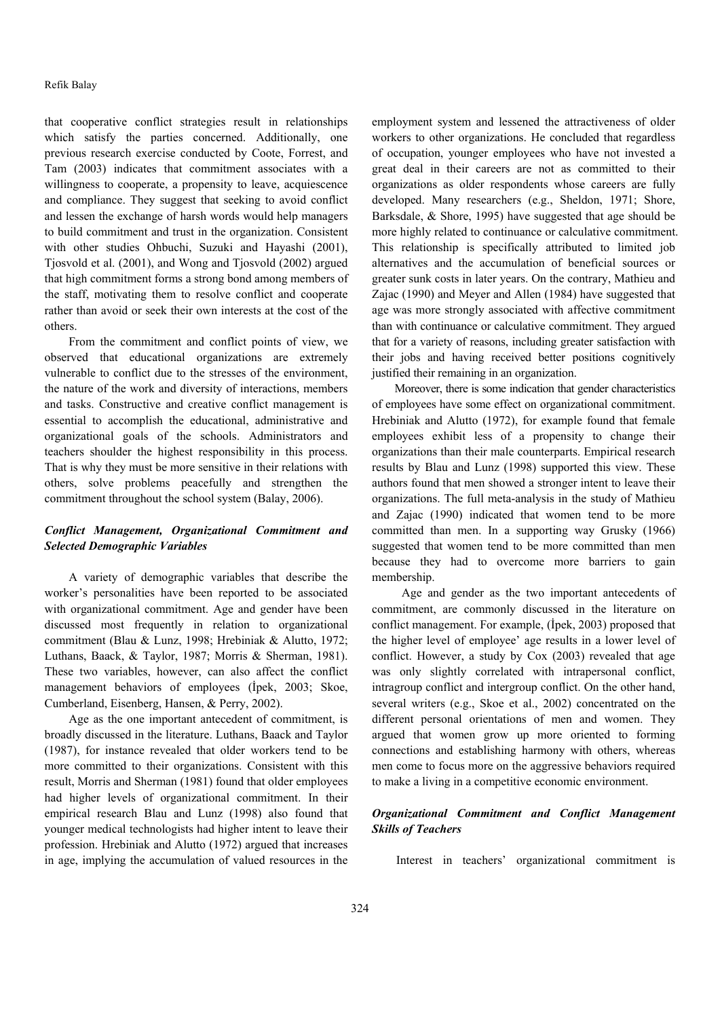that cooperative conflict strategies result in relationships which satisfy the parties concerned. Additionally, one previous research exercise conducted by Coote, Forrest, and Tam (2003) indicates that commitment associates with a willingness to cooperate, a propensity to leave, acquiescence and compliance. They suggest that seeking to avoid conflict and lessen the exchange of harsh words would help managers to build commitment and trust in the organization. Consistent with other studies Ohbuchi, Suzuki and Hayashi (2001), Tjosvold et al. (2001), and Wong and Tjosvold (2002) argued that high commitment forms a strong bond among members of the staff, motivating them to resolve conflict and cooperate rather than avoid or seek their own interests at the cost of the others.

From the commitment and conflict points of view, we observed that educational organizations are extremely vulnerable to conflict due to the stresses of the environment, the nature of the work and diversity of interactions, members and tasks. Constructive and creative conflict management is essential to accomplish the educational, administrative and organizational goals of the schools. Administrators and teachers shoulder the highest responsibility in this process. That is why they must be more sensitive in their relations with others, solve problems peacefully and strengthen the commitment throughout the school system (Balay, 2006).

# *Conflict Management, Organizational Commitment and Selected Demographic Variables*

A variety of demographic variables that describe the worker's personalities have been reported to be associated with organizational commitment. Age and gender have been discussed most frequently in relation to organizational commitment (Blau & Lunz, 1998; Hrebiniak & Alutto, 1972; Luthans, Baack, & Taylor, 1987; Morris & Sherman, 1981). These two variables, however, can also affect the conflict management behaviors of employees (İpek, 2003; Skoe, Cumberland, Eisenberg, Hansen, & Perry, 2002).

Age as the one important antecedent of commitment, is broadly discussed in the literature. Luthans, Baack and Taylor (1987), for instance revealed that older workers tend to be more committed to their organizations. Consistent with this result, Morris and Sherman (1981) found that older employees had higher levels of organizational commitment. In their empirical research Blau and Lunz (1998) also found that younger medical technologists had higher intent to leave their profession. Hrebiniak and Alutto (1972) argued that increases in age, implying the accumulation of valued resources in the

employment system and lessened the attractiveness of older workers to other organizations. He concluded that regardless of occupation, younger employees who have not invested a great deal in their careers are not as committed to their organizations as older respondents whose careers are fully developed. Many researchers (e.g., Sheldon, 1971; Shore, Barksdale, & Shore, 1995) have suggested that age should be more highly related to continuance or calculative commitment. This relationship is specifically attributed to limited job alternatives and the accumulation of beneficial sources or greater sunk costs in later years. On the contrary, Mathieu and Zajac (1990) and Meyer and Allen (1984) have suggested that age was more strongly associated with affective commitment than with continuance or calculative commitment. They argued that for a variety of reasons, including greater satisfaction with their jobs and having received better positions cognitively justified their remaining in an organization.

Moreover, there is some indication that gender characteristics of employees have some effect on organizational commitment. Hrebiniak and Alutto (1972), for example found that female employees exhibit less of a propensity to change their organizations than their male counterparts. Empirical research results by Blau and Lunz (1998) supported this view. These authors found that men showed a stronger intent to leave their organizations. The full meta-analysis in the study of Mathieu and Zajac (1990) indicated that women tend to be more committed than men. In a supporting way Grusky (1966) suggested that women tend to be more committed than men because they had to overcome more barriers to gain membership.

Age and gender as the two important antecedents of commitment, are commonly discussed in the literature on conflict management. For example, (İpek, 2003) proposed that the higher level of employee' age results in a lower level of conflict. However, a study by Cox (2003) revealed that age was only slightly correlated with intrapersonal conflict, intragroup conflict and intergroup conflict. On the other hand, several writers (e.g., Skoe et al., 2002) concentrated on the different personal orientations of men and women. They argued that women grow up more oriented to forming connections and establishing harmony with others, whereas men come to focus more on the aggressive behaviors required to make a living in a competitive economic environment.

# *Organizational Commitment and Conflict Management Skills of Teachers*

Interest in teachers' organizational commitment is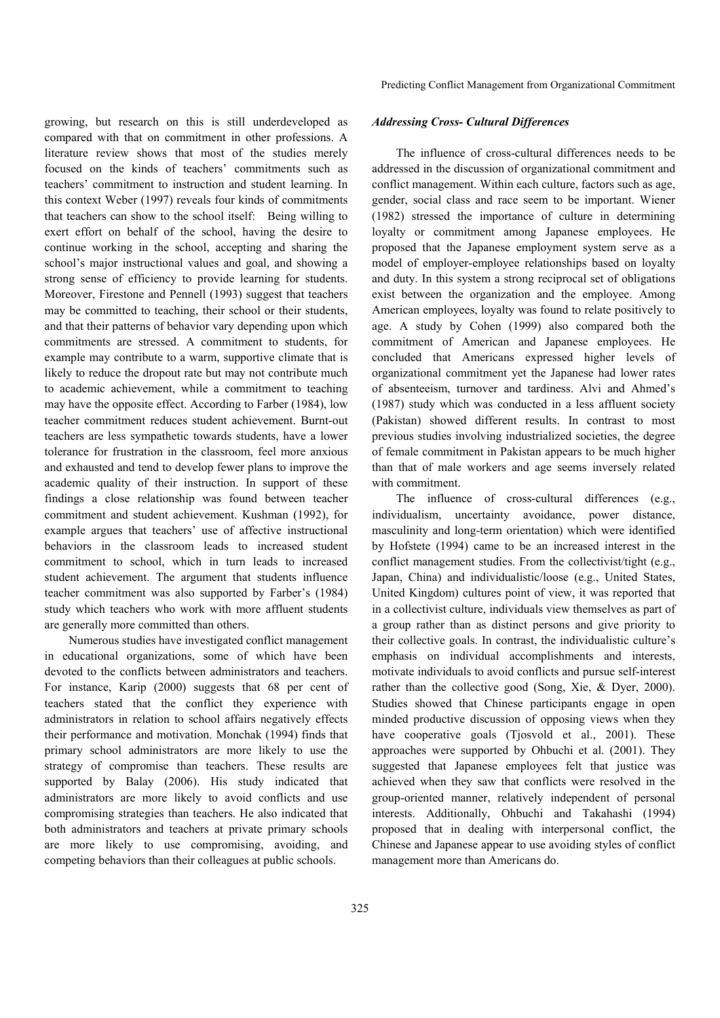growing, but research on this is still underdeveloped as compared with that on commitment in other professions. A literature review shows that most of the studies merely focused on the kinds of teachers' commitments such as teachers' commitment to instruction and student learning. In this context Weber (1997) reveals four kinds of commitments that teachers can show to the school itself: Being willing to exert effort on behalf of the school, having the desire to continue working in the school, accepting and sharing the school's major instructional values and goal, and showing a strong sense of efficiency to provide learning for students. Moreover, Firestone and Pennell (1993) suggest that teachers may be committed to teaching, their school or their students, and that their patterns of behavior vary depending upon which commitments are stressed. A commitment to students, for example may contribute to a warm, supportive climate that is likely to reduce the dropout rate but may not contribute much to academic achievement, while a commitment to teaching may have the opposite effect. According to Farber (1984), low teacher commitment reduces student achievement. Burnt-out teachers are less sympathetic towards students, have a lower tolerance for frustration in the classroom, feel more anxious and exhausted and tend to develop fewer plans to improve the academic quality of their instruction. In support of these findings a close relationship was found between teacher commitment and student achievement. Kushman (1992), for example argues that teachers' use of affective instructional behaviors in the classroom leads to increased student commitment to school, which in turn leads to increased student achievement. The argument that students influence teacher commitment was also supported by Farber's (1984) study which teachers who work with more affluent students are generally more committed than others.

Numerous studies have investigated conflict management in educational organizations, some of which have been devoted to the conflicts between administrators and teachers. For instance, Karip (2000) suggests that 68 per cent of teachers stated that the conflict they experience with administrators in relation to school affairs negatively effects their performance and motivation. Monchak (1994) finds that primary school administrators are more likely to use the strategy of compromise than teachers. These results are supported by Balay (2006). His study indicated that administrators are more likely to avoid conflicts and use compromising strategies than teachers. He also indicated that both administrators and teachers at private primary schools are more likely to use compromising, avoiding, and competing behaviors than their colleagues at public schools.

Predicting Conflict Management from Organizational Commitment

#### *Addressing Cross- Cultural Differences*

The influence of cross-cultural differences needs to be addressed in the discussion of organizational commitment and conflict management. Within each culture, factors such as age, gender, social class and race seem to be important. Wiener (1982) stressed the importance of culture in determining loyalty or commitment among Japanese employees. He proposed that the Japanese employment system serve as a model of employer-employee relationships based on loyalty and duty. In this system a strong reciprocal set of obligations exist between the organization and the employee. Among American employees, loyalty was found to relate positively to age. A study by Cohen (1999) also compared both the commitment of American and Japanese employees. He concluded that Americans expressed higher levels of organizational commitment yet the Japanese had lower rates of absenteeism, turnover and tardiness. Alvi and Ahmed's (1987) study which was conducted in a less affluent society (Pakistan) showed different results. In contrast to most previous studies involving industrialized societies, the degree of female commitment in Pakistan appears to be much higher than that of male workers and age seems inversely related with commitment.

The influence of cross-cultural differences (e.g., individualism, uncertainty avoidance, power distance, masculinity and long-term orientation) which were identified by Hofstete (1994) came to be an increased interest in the conflict management studies. From the collectivist/tight (e.g., Japan, China) and individualistic/loose (e.g., United States, United Kingdom) cultures point of view, it was reported that in a collectivist culture, individuals view themselves as part of a group rather than as distinct persons and give priority to their collective goals. In contrast, the individualistic culture's emphasis on individual accomplishments and interests, motivate individuals to avoid conflicts and pursue self-interest rather than the collective good (Song, Xie, & Dyer, 2000). Studies showed that Chinese participants engage in open minded productive discussion of opposing views when they have cooperative goals (Tiosvold et al., 2001). These approaches were supported by Ohbuchi et al. (2001). They suggested that Japanese employees felt that justice was achieved when they saw that conflicts were resolved in the group-oriented manner, relatively independent of personal interests. Additionally, Ohbuchi and Takahashi (1994) proposed that in dealing with interpersonal conflict, the Chinese and Japanese appear to use avoiding styles of conflict management more than Americans do.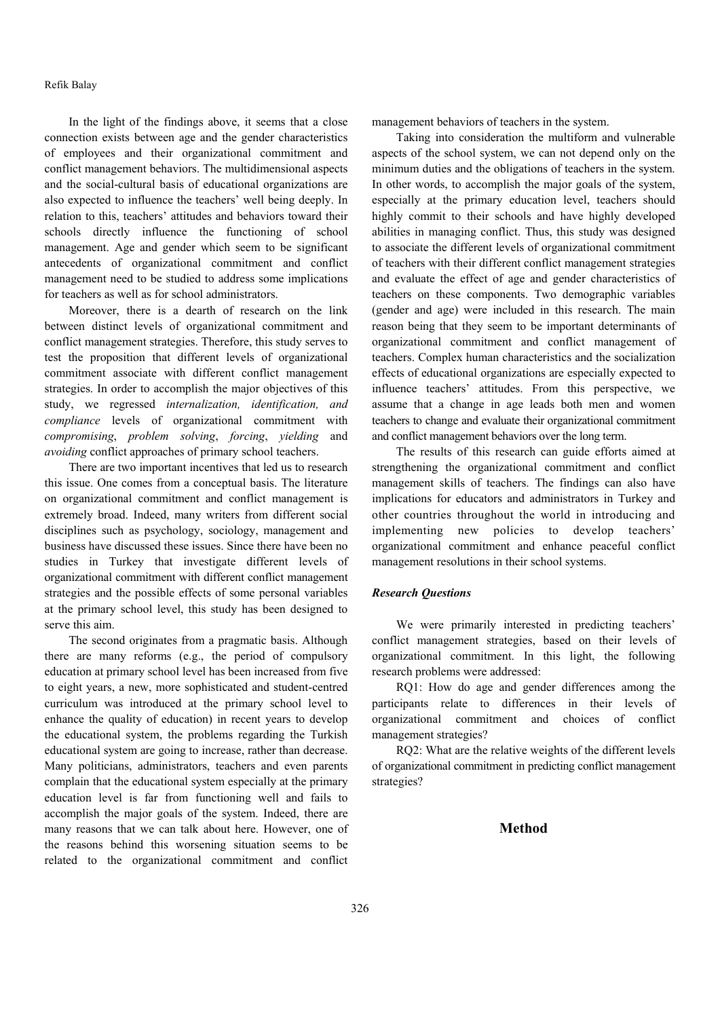In the light of the findings above, it seems that a close connection exists between age and the gender characteristics of employees and their organizational commitment and conflict management behaviors. The multidimensional aspects and the social-cultural basis of educational organizations are also expected to influence the teachers' well being deeply. In relation to this, teachers' attitudes and behaviors toward their schools directly influence the functioning of school management. Age and gender which seem to be significant antecedents of organizational commitment and conflict management need to be studied to address some implications for teachers as well as for school administrators.

Moreover, there is a dearth of research on the link between distinct levels of organizational commitment and conflict management strategies. Therefore, this study serves to test the proposition that different levels of organizational commitment associate with different conflict management strategies. In order to accomplish the major objectives of this study, we regressed *internalization, identification, and compliance* levels of organizational commitment with *compromising*, *problem solving*, *forcing*, *yielding* and *avoiding* conflict approaches of primary school teachers.

There are two important incentives that led us to research this issue. One comes from a conceptual basis. The literature on organizational commitment and conflict management is extremely broad. Indeed, many writers from different social disciplines such as psychology, sociology, management and business have discussed these issues. Since there have been no studies in Turkey that investigate different levels of organizational commitment with different conflict management strategies and the possible effects of some personal variables at the primary school level, this study has been designed to serve this aim.

The second originates from a pragmatic basis. Although there are many reforms (e.g., the period of compulsory education at primary school level has been increased from five to eight years, a new, more sophisticated and student-centred curriculum was introduced at the primary school level to enhance the quality of education) in recent years to develop the educational system, the problems regarding the Turkish educational system are going to increase, rather than decrease. Many politicians, administrators, teachers and even parents complain that the educational system especially at the primary education level is far from functioning well and fails to accomplish the major goals of the system. Indeed, there are many reasons that we can talk about here. However, one of the reasons behind this worsening situation seems to be related to the organizational commitment and conflict

management behaviors of teachers in the system.

Taking into consideration the multiform and vulnerable aspects of the school system, we can not depend only on the minimum duties and the obligations of teachers in the system. In other words, to accomplish the major goals of the system, especially at the primary education level, teachers should highly commit to their schools and have highly developed abilities in managing conflict. Thus, this study was designed to associate the different levels of organizational commitment of teachers with their different conflict management strategies and evaluate the effect of age and gender characteristics of teachers on these components. Two demographic variables (gender and age) were included in this research. The main reason being that they seem to be important determinants of organizational commitment and conflict management of teachers. Complex human characteristics and the socialization effects of educational organizations are especially expected to influence teachers' attitudes. From this perspective, we assume that a change in age leads both men and women teachers to change and evaluate their organizational commitment and conflict management behaviors over the long term.

The results of this research can guide efforts aimed at strengthening the organizational commitment and conflict management skills of teachers. The findings can also have implications for educators and administrators in Turkey and other countries throughout the world in introducing and implementing new policies to develop teachers' organizational commitment and enhance peaceful conflict management resolutions in their school systems.

## *Research Questions*

We were primarily interested in predicting teachers' conflict management strategies, based on their levels of organizational commitment. In this light, the following research problems were addressed:

RQ1: How do age and gender differences among the participants relate to differences in their levels of organizational commitment and choices of conflict management strategies?

RQ2: What are the relative weights of the different levels of organizational commitment in predicting conflict management strategies?

## **Method**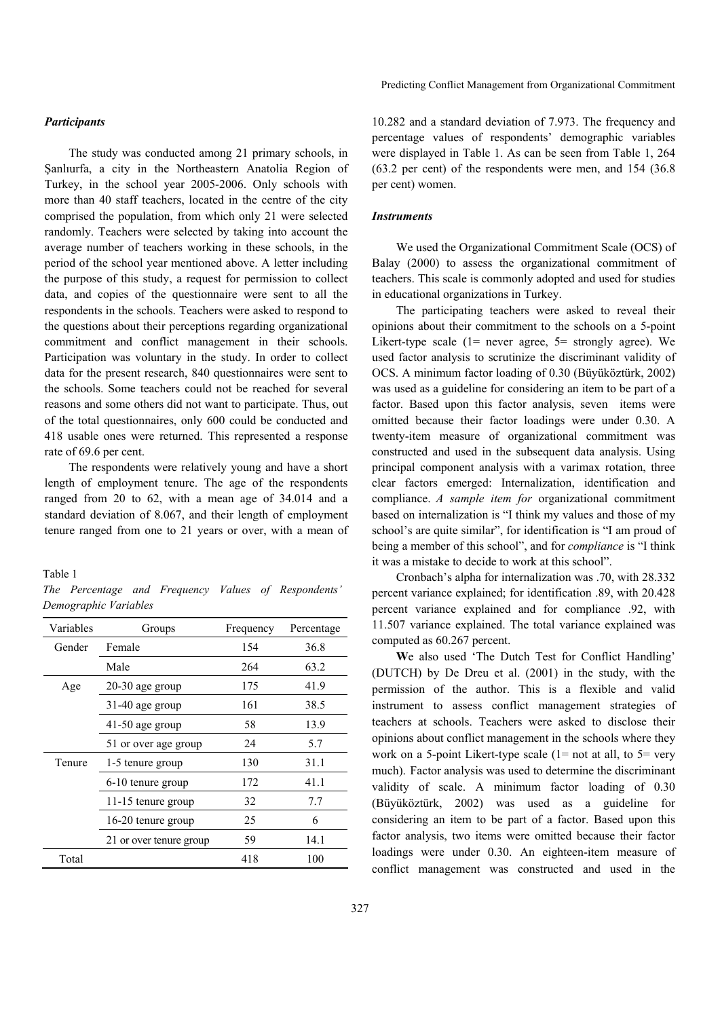#### *Participants*

The study was conducted among 21 primary schools, in Şanlıurfa, a city in the Northeastern Anatolia Region of Turkey, in the school year 2005-2006. Only schools with more than 40 staff teachers, located in the centre of the city comprised the population, from which only 21 were selected randomly. Teachers were selected by taking into account the average number of teachers working in these schools, in the period of the school year mentioned above. A letter including the purpose of this study, a request for permission to collect data, and copies of the questionnaire were sent to all the respondents in the schools. Teachers were asked to respond to the questions about their perceptions regarding organizational commitment and conflict management in their schools. Participation was voluntary in the study. In order to collect data for the present research, 840 questionnaires were sent to the schools. Some teachers could not be reached for several reasons and some others did not want to participate. Thus, out of the total questionnaires, only 600 could be conducted and 418 usable ones were returned. This represented a response rate of 69.6 per cent.

The respondents were relatively young and have a short length of employment tenure. The age of the respondents ranged from 20 to 62, with a mean age of 34.014 and a standard deviation of 8.067, and their length of employment tenure ranged from one to 21 years or over, with a mean of

#### Table 1

*The Percentage and Frequency Values of Respondents' Demographic Variables* 

| Variables | Groups                  | Frequency | Percentage |
|-----------|-------------------------|-----------|------------|
| Gender    | Female                  | 154       | 36.8       |
|           | Male                    | 264       | 63.2       |
| Age       | 20-30 age group         | 175       | 41.9       |
|           | 31-40 age group         | 161       | 38.5       |
|           | 41-50 age group         | 58        | 13.9       |
|           | 51 or over age group    | 24        | 5.7        |
| Tenure    | 1-5 tenure group        | 130       | 31.1       |
|           | 6-10 tenure group       | 172       | 41.1       |
|           | 11-15 tenure group      | 32        | 7.7        |
|           | 16-20 tenure group      | 25        | 6          |
|           | 21 or over tenure group | 59        | 14.1       |
| Total     |                         | 418       | 100        |

10.282 and a standard deviation of 7.973. The frequency and percentage values of respondents' demographic variables were displayed in Table 1. As can be seen from Table 1, 264 (63.2 per cent) of the respondents were men, and 154 (36.8 per cent) women.

#### *Instruments*

We used the Organizational Commitment Scale (OCS) of Balay (2000) to assess the organizational commitment of teachers. This scale is commonly adopted and used for studies in educational organizations in Turkey.

The participating teachers were asked to reveal their opinions about their commitment to the schools on a 5-point Likert-type scale  $(1=$  never agree,  $5=$  strongly agree). We used factor analysis to scrutinize the discriminant validity of OCS. A minimum factor loading of 0.30 (Büyüköztürk, 2002) was used as a guideline for considering an item to be part of a factor. Based upon this factor analysis, seven items were omitted because their factor loadings were under 0.30. A twenty-item measure of organizational commitment was constructed and used in the subsequent data analysis. Using principal component analysis with a varimax rotation, three clear factors emerged: Internalization, identification and compliance. *A sample item for* organizational commitment based on internalization is "I think my values and those of my school's are quite similar", for identification is "I am proud of being a member of this school", and for *compliance* is "I think it was a mistake to decide to work at this school".

Cronbach's alpha for internalization was .70, with 28.332 percent variance explained; for identification .89, with 20.428 percent variance explained and for compliance .92, with 11.507 variance explained. The total variance explained was computed as 60.267 percent.

**W**e also used 'The Dutch Test for Conflict Handling' (DUTCH) by De Dreu et al. (2001) in the study, with the permission of the author. This is a flexible and valid instrument to assess conflict management strategies of teachers at schools. Teachers were asked to disclose their opinions about conflict management in the schools where they work on a 5-point Likert-type scale  $(1=$  not at all, to  $5=$  very much). Factor analysis was used to determine the discriminant validity of scale. A minimum factor loading of 0.30 (Büyüköztürk, 2002) was used as a guideline for considering an item to be part of a factor. Based upon this factor analysis, two items were omitted because their factor loadings were under 0.30. An eighteen-item measure of conflict management was constructed and used in the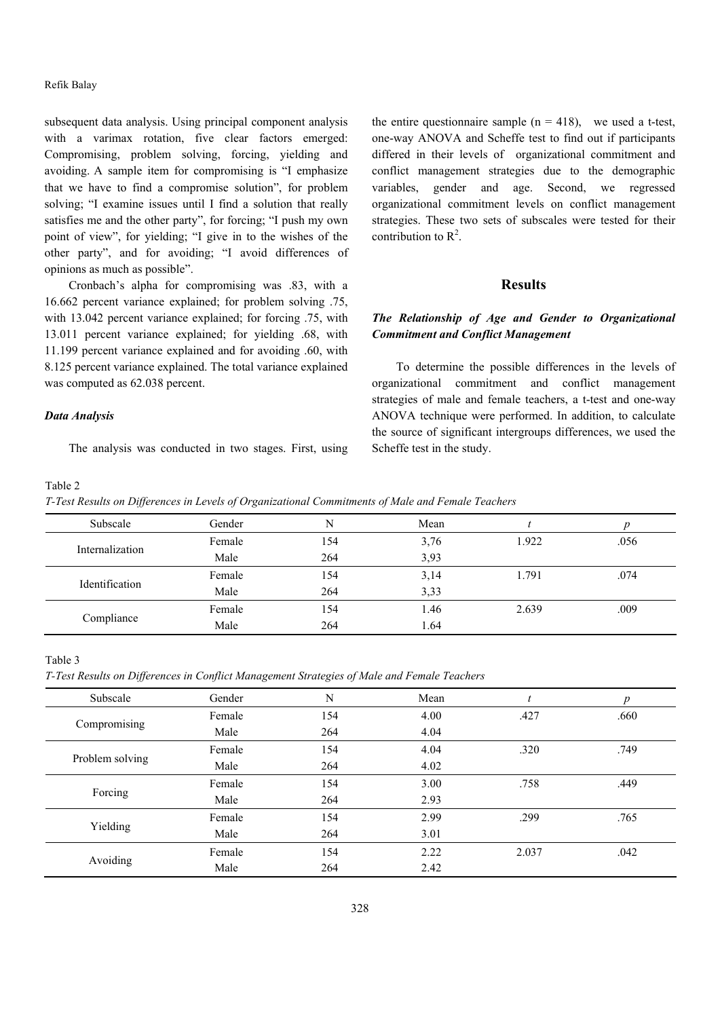subsequent data analysis. Using principal component analysis with a varimax rotation, five clear factors emerged: Compromising, problem solving, forcing, yielding and avoiding. A sample item for compromising is "I emphasize that we have to find a compromise solution", for problem solving; "I examine issues until I find a solution that really satisfies me and the other party", for forcing; "I push my own point of view", for yielding; "I give in to the wishes of the other party", and for avoiding; "I avoid differences of opinions as much as possible".

Cronbach's alpha for compromising was .83, with a 16.662 percent variance explained; for problem solving .75, with 13.042 percent variance explained; for forcing .75, with 13.011 percent variance explained; for yielding .68, with 11.199 percent variance explained and for avoiding .60, with 8.125 percent variance explained. The total variance explained was computed as 62.038 percent.

## *Data Analysis*

The analysis was conducted in two stages. First, using

the entire questionnaire sample  $(n = 418)$ , we used a t-test, one-way ANOVA and Scheffe test to find out if participants differed in their levels of organizational commitment and conflict management strategies due to the demographic variables, gender and age. Second, we regressed organizational commitment levels on conflict management strategies. These two sets of subscales were tested for their contribution to  $R^2$ .

# **Results**

# *The Relationship of Age and Gender to Organizational Commitment and Conflict Management*

To determine the possible differences in the levels of organizational commitment and conflict management strategies of male and female teachers, a t-test and one-way ANOVA technique were performed. In addition, to calculate the source of significant intergroups differences, we used the Scheffe test in the study.

## Table 2

*T-Test Results on Differences in Levels of Organizational Commitments of Male and Female Teachers* 

|      |       | Mean | N   | Gender | Subscale        |
|------|-------|------|-----|--------|-----------------|
| .056 | 1.922 | 3,76 | 154 | Female | Internalization |
|      |       | 3,93 | 264 | Male   |                 |
| .074 | 1.791 | 3,14 | 154 | Female | Identification  |
|      |       | 3,33 | 264 | Male   |                 |
| .009 | 2.639 | 1.46 | 154 | Female | Compliance      |
|      |       | 1.64 | 264 | Male   |                 |
|      |       |      |     |        |                 |

# Table 3

*T-Test Results on Differences in Conflict Management Strategies of Male and Female Teachers* 

| Subscale        | Gender | N   | Mean | $\boldsymbol{t}$ | D    |
|-----------------|--------|-----|------|------------------|------|
|                 | Female | 154 | 4.00 | .427             | .660 |
| Compromising    | Male   | 264 | 4.04 |                  |      |
|                 | Female | 154 | 4.04 | .320             | .749 |
| Problem solving | Male   | 264 | 4.02 |                  |      |
| Forcing         | Female | 154 | 3.00 | .758             | .449 |
|                 | Male   | 264 | 2.93 |                  |      |
| Yielding        | Female | 154 | 2.99 | .299             | .765 |
|                 | Male   | 264 | 3.01 |                  |      |
| Avoiding        | Female | 154 | 2.22 | 2.037            | .042 |
|                 | Male   | 264 | 2.42 |                  |      |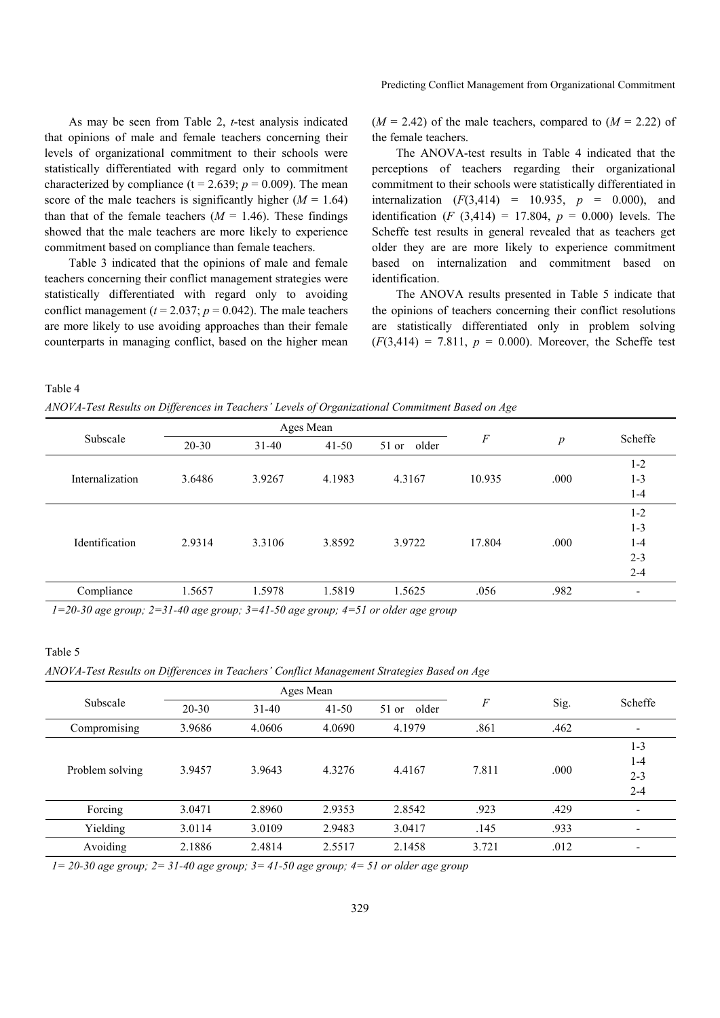Predicting Conflict Management from Organizational Commitment

As may be seen from Table 2, *t*-test analysis indicated that opinions of male and female teachers concerning their levels of organizational commitment to their schools were statistically differentiated with regard only to commitment characterized by compliance ( $t = 2.639$ ;  $p = 0.009$ ). The mean score of the male teachers is significantly higher  $(M = 1.64)$ than that of the female teachers  $(M = 1.46)$ . These findings showed that the male teachers are more likely to experience commitment based on compliance than female teachers.

Table 3 indicated that the opinions of male and female teachers concerning their conflict management strategies were statistically differentiated with regard only to avoiding conflict management ( $t = 2.037$ ;  $p = 0.042$ ). The male teachers are more likely to use avoiding approaches than their female counterparts in managing conflict, based on the higher mean  $(M = 2.42)$  of the male teachers, compared to  $(M = 2.22)$  of the female teachers.

The ANOVA-test results in Table 4 indicated that the perceptions of teachers regarding their organizational commitment to their schools were statistically differentiated in internalization  $(F(3, 414) = 10.935, p = 0.000)$ , and identification (*F* (3,414) = 17.804,  $p = 0.000$ ) levels. The Scheffe test results in general revealed that as teachers get older they are are more likely to experience commitment based on internalization and commitment based on identification.

The ANOVA results presented in Table 5 indicate that the opinions of teachers concerning their conflict resolutions are statistically differentiated only in problem solving  $(F(3,414) = 7.811, p = 0.000)$ . Moreover, the Scheffe test

Table 4 *ANOVA-Test Results on Differences in Teachers' Levels of Organizational Commitment Based on Age* 

| Subscale        | Ages Mean        |           |           |             |          |                  |                              |
|-----------------|------------------|-----------|-----------|-------------|----------|------------------|------------------------------|
|                 | $20 - 30$        | $31 - 40$ | $41 - 50$ | 51 or older | $\cal F$ | $\boldsymbol{p}$ | Scheffe                      |
|                 |                  |           |           |             |          |                  | $1 - 2$                      |
| Internalization | 3.6486           | 3.9267    | 4.1983    | 4.3167      | 10.935   | .000             | $1 - 3$                      |
|                 |                  |           |           |             |          | $1-4$            |                              |
|                 | 2.9314<br>3.3106 |           | 3.8592    | 3.9722      | 17.804   | .000             | $1 - 2$                      |
| Identification  |                  |           |           |             |          |                  | $1 - 3$                      |
|                 |                  |           |           |             |          |                  | $1-4$                        |
|                 |                  |           |           |             |          | $2 - 3$          |                              |
|                 |                  |           |           |             |          | $2 - 4$          |                              |
| Compliance      | 1.5657           | 1.5978    | 1.5819    | 1.5625      | .056     | .982             | $\qquad \qquad \blacksquare$ |

*1=20-30 age group; 2=31-40 age group; 3=41-50 age group; 4=51 or older age group* 

#### Table 5

*ANOVA-Test Results on Differences in Teachers' Conflict Management Strategies Based on Age* 

|                 | Ages Mean        |           |           |             |       |      |         |
|-----------------|------------------|-----------|-----------|-------------|-------|------|---------|
| Subscale        | $20 - 30$        | $31 - 40$ | $41 - 50$ | 51 or older | F     | Sig. | Scheffe |
| Compromising    | 3.9686           | 4.0606    | 4.0690    | 4.1979      | .861  | .462 | -       |
| Problem solving | 3.9457<br>3.9643 |           | 4.3276    | 4.4167      | 7.811 | .000 | $1 - 3$ |
|                 |                  |           |           |             |       |      | $1 - 4$ |
|                 |                  |           |           |             |       |      | $2 - 3$ |
|                 |                  |           |           |             |       |      | $2 - 4$ |
| Forcing         | 3.0471           | 2.8960    | 2.9353    | 2.8542      | .923  | .429 | -       |
| Yielding        | 3.0114           | 3.0109    | 2.9483    | 3.0417      | .145  | .933 | -       |
| Avoiding        | 2.1886           | 2.4814    | 2.5517    | 2.1458      | 3.721 | .012 |         |

*1= 20-30 age group; 2= 31-40 age group; 3= 41-50 age group; 4= 51 or older age group*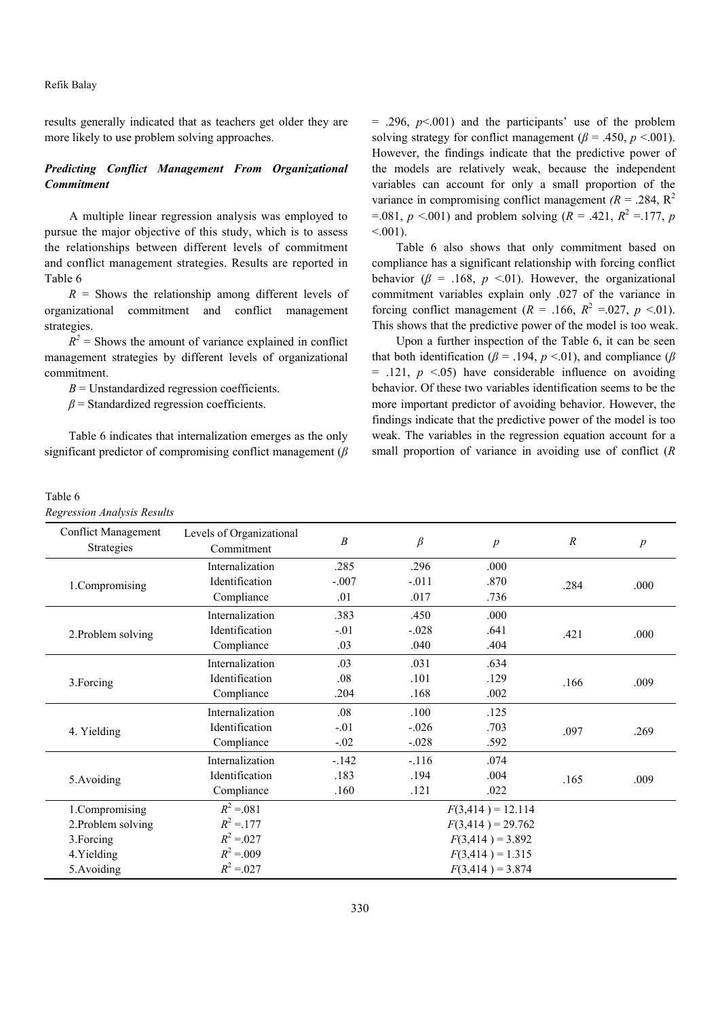results generally indicated that as teachers get older they are more likely to use problem solving approaches.

# *Predicting Conflict Management From Organizational Commitment*

A multiple linear regression analysis was employed to pursue the major objective of this study, which is to assess the relationships between different levels of commitment and conflict management strategies. Results are reported in Table 6

 $R =$  Shows the relationship among different levels of organizational commitment and conflict management strategies.

 $R^2$  = Shows the amount of variance explained in conflict management strategies by different levels of organizational commitment.

 $B =$  Unstandardized regression coefficients.

 $\beta$  = Standardized regression coefficients.

Table 6 indicates that internalization emerges as the only significant predictor of compromising conflict management (*β*  $= .296, p<.001$  and the participants' use of the problem solving strategy for conflict management ( $\beta$  = .450,  $p$  <.001). However, the findings indicate that the predictive power of the models are relatively weak, because the independent variables can account for only a small proportion of the variance in compromising conflict management  $(R = .284, R^2)$  $= 0.081, p \le 0.001$  and problem solving ( $R = .421, R^2 = .177, p$  $< 0.001$ ).

Table 6 also shows that only commitment based on compliance has a significant relationship with forcing conflict behavior ( $\beta$  = .168,  $p$  <.01). However, the organizational commitment variables explain only .027 of the variance in forcing conflict management ( $R = .166$ ,  $R^2 = .027$ ,  $p < .01$ ). This shows that the predictive power of the model is too weak.

Upon a further inspection of the Table 6, it can be seen that both identification ( $\beta$  = .194,  $p$  <.01), and compliance ( $\beta$  $=$  .121,  $p \le 0.05$ ) have considerable influence on avoiding behavior. Of these two variables identification seems to be the more important predictor of avoiding behavior. However, the findings indicate that the predictive power of the model is too weak. The variables in the regression equation account for a small proportion of variance in avoiding use of conflict (*R*

## Table 6

| Regression Analysis Results |  |
|-----------------------------|--|
|                             |  |

| Conflict Management<br>Strategies | Levels of Organizational<br>Commitment | B                    | $\beta$ | $\boldsymbol{p}$ | $\boldsymbol{R}$ | $\boldsymbol{p}$ |
|-----------------------------------|----------------------------------------|----------------------|---------|------------------|------------------|------------------|
|                                   | Internalization                        | .285                 | .296    | .000             |                  |                  |
| 1.Compromising                    | Identification                         | $-.007$              | $-.011$ | .870             | .284             | .000             |
|                                   | Compliance                             | .01                  | .017    | .736             |                  |                  |
|                                   | Internalization                        | .383                 | .450    | .000             |                  |                  |
| 2. Problem solving                | Identification                         | $-.01$               | $-.028$ | .641             | .421             | .000             |
|                                   | Compliance                             | .03                  | .040    | .404             |                  |                  |
|                                   | Internalization                        | .03                  | .031    | .634             |                  |                  |
| 3. Forcing                        | Identification                         | .08                  | .101    | .129             | .166             | .009             |
|                                   | Compliance                             | .204                 | .168    | .002             |                  |                  |
|                                   | Internalization                        | .08                  | .100    | .125             |                  |                  |
| 4. Yielding                       | Identification                         | $-.01$               | $-.026$ | .703             | .097             | .269             |
|                                   | Compliance                             | $-.02$               | $-.028$ | .592             |                  |                  |
|                                   | Internalization                        | $-142$               | $-116$  | .074             |                  |                  |
| 5.Avoiding                        | Identification                         | .183                 | .194    | .004             | .165             | .009             |
|                                   | Compliance                             | .160                 | .121    | .022             |                  |                  |
| 1.Compromising                    | $R^2 = 0.081$                          | $F(3, 414) = 12.114$ |         |                  |                  |                  |
| 2. Problem solving                | $R^2 = 177$                            | $F(3, 414) = 29.762$ |         |                  |                  |                  |
| 3. Forcing                        | $R^2 = 0.027$                          | $F(3, 414) = 3.892$  |         |                  |                  |                  |
| 4.Yielding                        | $R^2 = 0.009$                          | $F(3,414) = 1.315$   |         |                  |                  |                  |
| 5.Avoiding                        | $R^2 = 0.027$                          | $F(3,414) = 3.874$   |         |                  |                  |                  |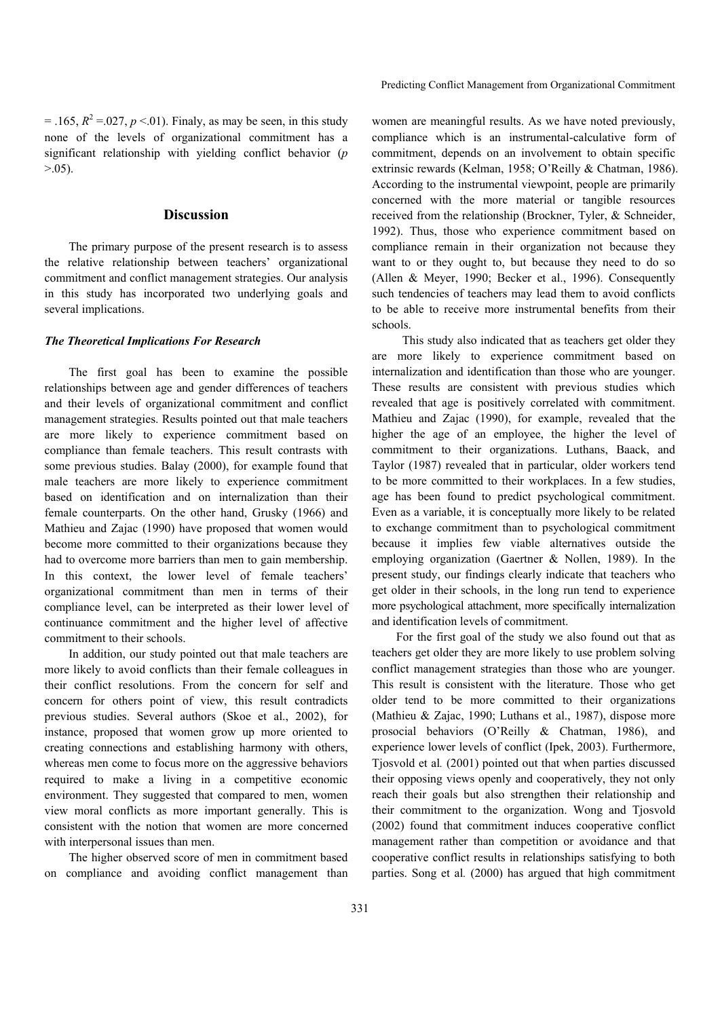$= .165, R^2 = .027, p < .01$ ). Finaly, as may be seen, in this study none of the levels of organizational commitment has a significant relationship with yielding conflict behavior (*p*  $> 0.05$ ).

# **Discussion**

The primary purpose of the present research is to assess the relative relationship between teachers' organizational commitment and conflict management strategies. Our analysis in this study has incorporated two underlying goals and several implications.

## *The Theoretical Implications For Research*

The first goal has been to examine the possible relationships between age and gender differences of teachers and their levels of organizational commitment and conflict management strategies. Results pointed out that male teachers are more likely to experience commitment based on compliance than female teachers. This result contrasts with some previous studies. Balay (2000), for example found that male teachers are more likely to experience commitment based on identification and on internalization than their female counterparts. On the other hand, Grusky (1966) and Mathieu and Zajac (1990) have proposed that women would become more committed to their organizations because they had to overcome more barriers than men to gain membership. In this context, the lower level of female teachers' organizational commitment than men in terms of their compliance level, can be interpreted as their lower level of continuance commitment and the higher level of affective commitment to their schools.

In addition, our study pointed out that male teachers are more likely to avoid conflicts than their female colleagues in their conflict resolutions. From the concern for self and concern for others point of view, this result contradicts previous studies. Several authors (Skoe et al., 2002), for instance, proposed that women grow up more oriented to creating connections and establishing harmony with others, whereas men come to focus more on the aggressive behaviors required to make a living in a competitive economic environment. They suggested that compared to men, women view moral conflicts as more important generally. This is consistent with the notion that women are more concerned with interpersonal issues than men.

The higher observed score of men in commitment based on compliance and avoiding conflict management than women are meaningful results. As we have noted previously, compliance which is an instrumental-calculative form of commitment, depends on an involvement to obtain specific extrinsic rewards (Kelman, 1958; O'Reilly & Chatman, 1986). According to the instrumental viewpoint, people are primarily concerned with the more material or tangible resources received from the relationship (Brockner, Tyler, & Schneider, 1992). Thus, those who experience commitment based on compliance remain in their organization not because they want to or they ought to, but because they need to do so (Allen & Meyer, 1990; Becker et al., 1996). Consequently such tendencies of teachers may lead them to avoid conflicts to be able to receive more instrumental benefits from their schools.

 This study also indicated that as teachers get older they are more likely to experience commitment based on internalization and identification than those who are younger. These results are consistent with previous studies which revealed that age is positively correlated with commitment. Mathieu and Zajac (1990), for example, revealed that the higher the age of an employee, the higher the level of commitment to their organizations. Luthans, Baack, and Taylor (1987) revealed that in particular, older workers tend to be more committed to their workplaces. In a few studies, age has been found to predict psychological commitment. Even as a variable, it is conceptually more likely to be related to exchange commitment than to psychological commitment because it implies few viable alternatives outside the employing organization (Gaertner & Nollen, 1989). In the present study, our findings clearly indicate that teachers who get older in their schools, in the long run tend to experience more psychological attachment, more specifically internalization and identification levels of commitment.

For the first goal of the study we also found out that as teachers get older they are more likely to use problem solving conflict management strategies than those who are younger. This result is consistent with the literature. Those who get older tend to be more committed to their organizations (Mathieu & Zajac, 1990; Luthans et al., 1987), dispose more prosocial behaviors (O'Reilly & Chatman, 1986), and experience lower levels of conflict (Ipek, 2003). Furthermore, Tjosvold et al*.* (2001) pointed out that when parties discussed their opposing views openly and cooperatively, they not only reach their goals but also strengthen their relationship and their commitment to the organization. Wong and Tjosvold (2002) found that commitment induces cooperative conflict management rather than competition or avoidance and that cooperative conflict results in relationships satisfying to both parties. Song et al*.* (2000) has argued that high commitment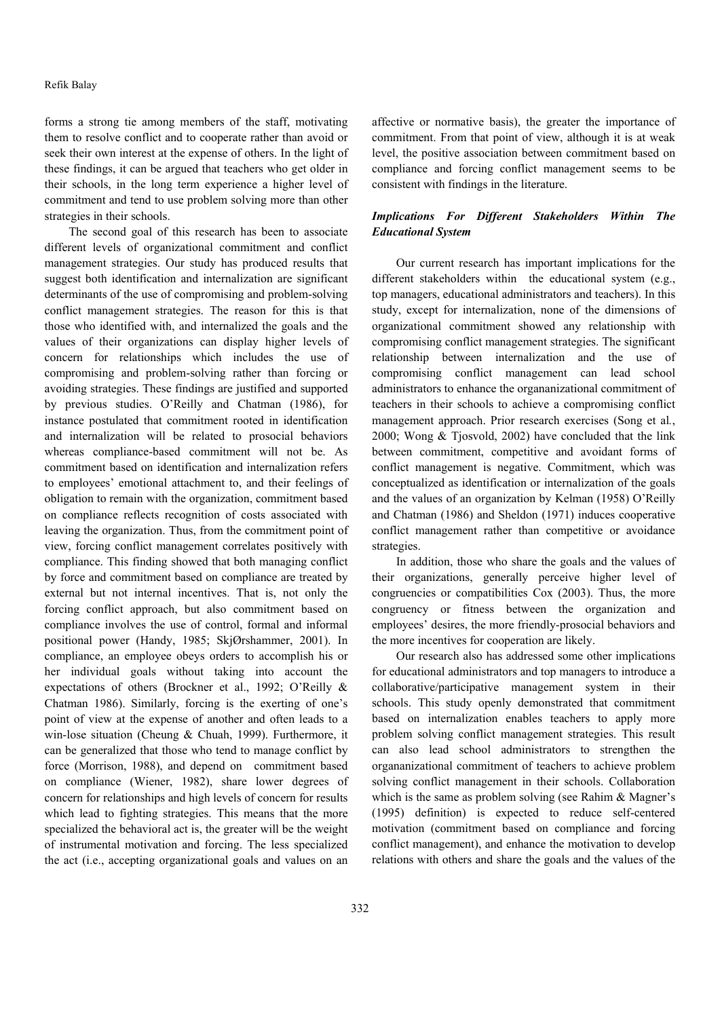forms a strong tie among members of the staff, motivating them to resolve conflict and to cooperate rather than avoid or seek their own interest at the expense of others. In the light of these findings, it can be argued that teachers who get older in their schools, in the long term experience a higher level of commitment and tend to use problem solving more than other strategies in their schools.

The second goal of this research has been to associate different levels of organizational commitment and conflict management strategies. Our study has produced results that suggest both identification and internalization are significant determinants of the use of compromising and problem-solving conflict management strategies. The reason for this is that those who identified with, and internalized the goals and the values of their organizations can display higher levels of concern for relationships which includes the use of compromising and problem-solving rather than forcing or avoiding strategies. These findings are justified and supported by previous studies. O'Reilly and Chatman (1986), for instance postulated that commitment rooted in identification and internalization will be related to prosocial behaviors whereas compliance-based commitment will not be. As commitment based on identification and internalization refers to employees' emotional attachment to, and their feelings of obligation to remain with the organization, commitment based on compliance reflects recognition of costs associated with leaving the organization. Thus, from the commitment point of view, forcing conflict management correlates positively with compliance. This finding showed that both managing conflict by force and commitment based on compliance are treated by external but not internal incentives. That is, not only the forcing conflict approach, but also commitment based on compliance involves the use of control, formal and informal positional power (Handy, 1985; SkjØrshammer, 2001). In compliance, an employee obeys orders to accomplish his or her individual goals without taking into account the expectations of others (Brockner et al., 1992; O'Reilly & Chatman 1986). Similarly, forcing is the exerting of one's point of view at the expense of another and often leads to a win-lose situation (Cheung & Chuah, 1999). Furthermore, it can be generalized that those who tend to manage conflict by force (Morrison, 1988), and depend on commitment based on compliance (Wiener, 1982), share lower degrees of concern for relationships and high levels of concern for results which lead to fighting strategies. This means that the more specialized the behavioral act is, the greater will be the weight of instrumental motivation and forcing. The less specialized the act (i.e., accepting organizational goals and values on an

affective or normative basis), the greater the importance of commitment. From that point of view, although it is at weak level, the positive association between commitment based on compliance and forcing conflict management seems to be consistent with findings in the literature.

# *Implications For Different Stakeholders Within The Educational System*

Our current research has important implications for the different stakeholders within the educational system (e.g., top managers, educational administrators and teachers). In this study, except for internalization, none of the dimensions of organizational commitment showed any relationship with compromising conflict management strategies. The significant relationship between internalization and the use of compromising conflict management can lead school administrators to enhance the organanizational commitment of teachers in their schools to achieve a compromising conflict management approach. Prior research exercises (Song et al*.*, 2000; Wong & Tjosvold, 2002) have concluded that the link between commitment, competitive and avoidant forms of conflict management is negative. Commitment, which was conceptualized as identification or internalization of the goals and the values of an organization by Kelman (1958) O'Reilly and Chatman (1986) and Sheldon (1971) induces cooperative conflict management rather than competitive or avoidance strategies.

In addition, those who share the goals and the values of their organizations, generally perceive higher level of congruencies or compatibilities Cox (2003). Thus, the more congruency or fitness between the organization and employees' desires, the more friendly-prosocial behaviors and the more incentives for cooperation are likely.

Our research also has addressed some other implications for educational administrators and top managers to introduce a collaborative/participative management system in their schools. This study openly demonstrated that commitment based on internalization enables teachers to apply more problem solving conflict management strategies. This result can also lead school administrators to strengthen the organanizational commitment of teachers to achieve problem solving conflict management in their schools. Collaboration which is the same as problem solving (see Rahim & Magner's (1995) definition) is expected to reduce self-centered motivation (commitment based on compliance and forcing conflict management), and enhance the motivation to develop relations with others and share the goals and the values of the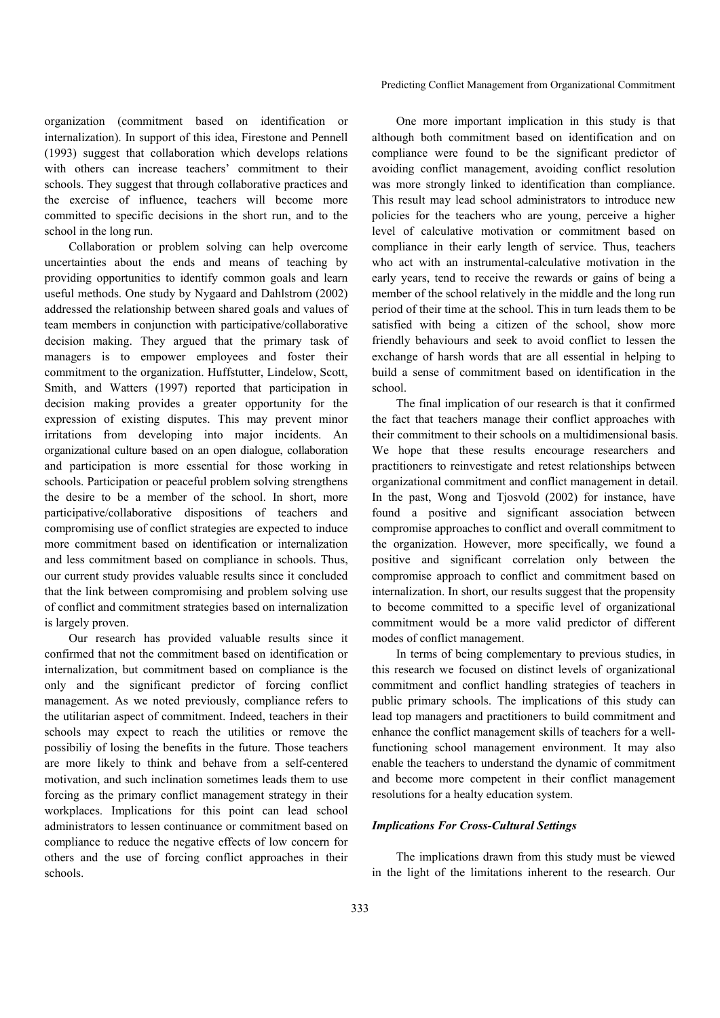organization (commitment based on identification or internalization). In support of this idea, Firestone and Pennell (1993) suggest that collaboration which develops relations with others can increase teachers' commitment to their schools. They suggest that through collaborative practices and the exercise of influence, teachers will become more committed to specific decisions in the short run, and to the school in the long run.

Collaboration or problem solving can help overcome uncertainties about the ends and means of teaching by providing opportunities to identify common goals and learn useful methods. One study by Nygaard and Dahlstrom (2002) addressed the relationship between shared goals and values of team members in conjunction with participative/collaborative decision making. They argued that the primary task of managers is to empower employees and foster their commitment to the organization. Huffstutter, Lindelow, Scott, Smith, and Watters (1997) reported that participation in decision making provides a greater opportunity for the expression of existing disputes. This may prevent minor irritations from developing into major incidents. An organizational culture based on an open dialogue, collaboration and participation is more essential for those working in schools. Participation or peaceful problem solving strengthens the desire to be a member of the school. In short, more participative/collaborative dispositions of teachers and compromising use of conflict strategies are expected to induce more commitment based on identification or internalization and less commitment based on compliance in schools. Thus, our current study provides valuable results since it concluded that the link between compromising and problem solving use of conflict and commitment strategies based on internalization is largely proven.

Our research has provided valuable results since it confirmed that not the commitment based on identification or internalization, but commitment based on compliance is the only and the significant predictor of forcing conflict management. As we noted previously, compliance refers to the utilitarian aspect of commitment. Indeed, teachers in their schools may expect to reach the utilities or remove the possibiliy of losing the benefits in the future. Those teachers are more likely to think and behave from a self-centered motivation, and such inclination sometimes leads them to use forcing as the primary conflict management strategy in their workplaces. Implications for this point can lead school administrators to lessen continuance or commitment based on compliance to reduce the negative effects of low concern for others and the use of forcing conflict approaches in their schools.

## Predicting Conflict Management from Organizational Commitment

One more important implication in this study is that although both commitment based on identification and on compliance were found to be the significant predictor of avoiding conflict management, avoiding conflict resolution was more strongly linked to identification than compliance. This result may lead school administrators to introduce new policies for the teachers who are young, perceive a higher level of calculative motivation or commitment based on compliance in their early length of service. Thus, teachers who act with an instrumental-calculative motivation in the early years, tend to receive the rewards or gains of being a member of the school relatively in the middle and the long run period of their time at the school. This in turn leads them to be satisfied with being a citizen of the school, show more friendly behaviours and seek to avoid conflict to lessen the exchange of harsh words that are all essential in helping to build a sense of commitment based on identification in the school.

The final implication of our research is that it confirmed the fact that teachers manage their conflict approaches with their commitment to their schools on a multidimensional basis. We hope that these results encourage researchers and practitioners to reinvestigate and retest relationships between organizational commitment and conflict management in detail. In the past, Wong and Tjosvold (2002) for instance, have found a positive and significant association between compromise approaches to conflict and overall commitment to the organization. However, more specifically, we found a positive and significant correlation only between the compromise approach to conflict and commitment based on internalization. In short, our results suggest that the propensity to become committed to a specific level of organizational commitment would be a more valid predictor of different modes of conflict management.

In terms of being complementary to previous studies, in this research we focused on distinct levels of organizational commitment and conflict handling strategies of teachers in public primary schools. The implications of this study can lead top managers and practitioners to build commitment and enhance the conflict management skills of teachers for a wellfunctioning school management environment. It may also enable the teachers to understand the dynamic of commitment and become more competent in their conflict management resolutions for a healty education system.

# *Implications For Cross-Cultural Settings*

The implications drawn from this study must be viewed in the light of the limitations inherent to the research. Our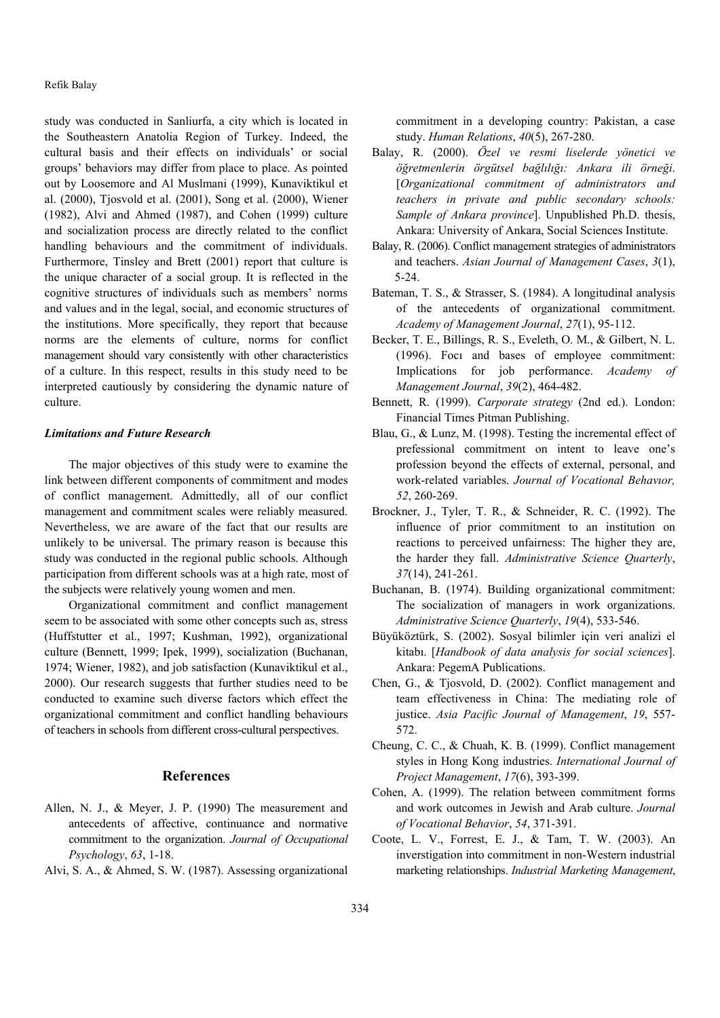study was conducted in Sanliurfa, a city which is located in the Southeastern Anatolia Region of Turkey. Indeed, the cultural basis and their effects on individuals' or social groups' behaviors may differ from place to place. As pointed out by Loosemore and Al Muslmani (1999), Kunaviktikul et al. (2000), Tjosvold et al. (2001), Song et al. (2000), Wiener (1982), Alvi and Ahmed (1987), and Cohen (1999) culture and socialization process are directly related to the conflict handling behaviours and the commitment of individuals. Furthermore, Tinsley and Brett (2001) report that culture is the unique character of a social group. It is reflected in the cognitive structures of individuals such as members' norms and values and in the legal, social, and economic structures of the institutions. More specifically, they report that because norms are the elements of culture, norms for conflict management should vary consistently with other characteristics of a culture. In this respect, results in this study need to be interpreted cautiously by considering the dynamic nature of culture.

#### *Limitations and Future Research*

The major objectives of this study were to examine the link between different components of commitment and modes of conflict management. Admittedly, all of our conflict management and commitment scales were reliably measured. Nevertheless, we are aware of the fact that our results are unlikely to be universal. The primary reason is because this study was conducted in the regional public schools. Although participation from different schools was at a high rate, most of the subjects were relatively young women and men.

Organizational commitment and conflict management seem to be associated with some other concepts such as, stress (Huffstutter et al., 1997; Kushman, 1992), organizational culture (Bennett, 1999; Ipek, 1999), socialization (Buchanan, 1974; Wiener, 1982), and job satisfaction (Kunaviktikul et al., 2000). Our research suggests that further studies need to be conducted to examine such diverse factors which effect the organizational commitment and conflict handling behaviours of teachers in schools from different cross-cultural perspectives.

## **References**

- Allen, N. J., & Meyer, J. P. (1990) The measurement and antecedents of affective, continuance and normative commitment to the organization. *Journal of Occupational Psychology*, *63*, 1-18.
- Alvi, S. A., & Ahmed, S. W. (1987). Assessing organizational

commitment in a developing country: Pakistan, a case study. *Human Relations*, *40*(5), 267-280.

- Balay, R. (2000). *Özel ve resmi liselerde yönetici ve öğretmenlerin örgütsel bağlılığı: Ankara ili örneği*. [*Organizational commitment of administrators and teachers in private and public secondary schools: Sample of Ankara province*]. Unpublished Ph.D. thesis, Ankara: University of Ankara, Social Sciences Institute.
- Balay, R. (2006). Conflict management strategies of administrators and teachers. *Asian Journal of Management Cases*, *3*(1), 5-24.
- Bateman, T. S., & Strasser, S. (1984). A longitudinal analysis of the antecedents of organizational commitment. *Academy of Management Journal*, *27*(1), 95-112.
- Becker, T. E., Billings, R. S., Eveleth, O. M., & Gilbert, N. L. (1996). Focı and bases of employee commitment: Implications for job performance. *Academy of Management Journal*, *39*(2), 464-482.
- Bennett, R. (1999). *Carporate strategy* (2nd ed.). London: Financial Times Pitman Publishing.
- Blau, G., & Lunz, M. (1998). Testing the incremental effect of prefessional commitment on intent to leave one's profession beyond the effects of external, personal, and work-related variables. *Journal of Vocational Behavıor, 52*, 260-269.
- Brockner, J., Tyler, T. R., & Schneider, R. C. (1992). The influence of prior commitment to an institution on reactions to perceived unfairness: The higher they are, the harder they fall. *Administrative Science Quarterly*, *37*(14), 241-261.
- Buchanan, B. (1974). Building organizational commitment: The socialization of managers in work organizations. *Administrative Science Quarterly*, *19*(4), 533-546.
- Büyüköztürk, S. (2002). Sosyal bilimler için veri analizi el kitabı. [*Handbook of data analysis for social sciences*]. Ankara: PegemA Publications.
- Chen, G., & Tjosvold, D. (2002). Conflict management and team effectiveness in China: The mediating role of justice. *Asia Pacific Journal of Management*, *19*, 557- 572.
- Cheung, C. C., & Chuah, K. B. (1999). Conflict management styles in Hong Kong industries. *International Journal of Project Management*, *17*(6), 393-399.
- Cohen, A. (1999). The relation between commitment forms and work outcomes in Jewish and Arab culture. *Journal of Vocational Behavior*, *54*, 371-391.
- Coote, L. V., Forrest, E. J., & Tam, T. W. (2003). An inverstigation into commitment in non-Western industrial marketing relationships. *Industrial Marketing Management*,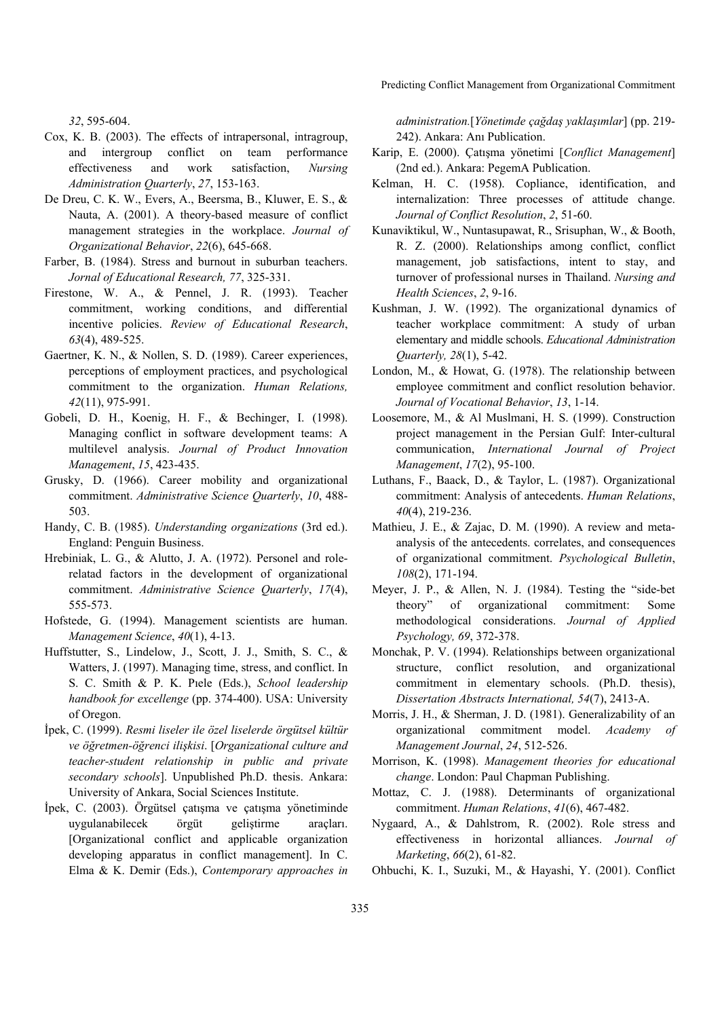*32*, 595-604.

- Cox, K. B. (2003). The effects of intrapersonal, intragroup, and intergroup conflict on team performance effectiveness and work satisfaction, *Nursing Administration Quarterly*, *27*, 153-163.
- De Dreu, C. K. W., Evers, A., Beersma, B., Kluwer, E. S., & Nauta, A. (2001). A theory-based measure of conflict management strategies in the workplace. *Journal of Organizational Behavior*, *22*(6), 645-668.
- Farber, B. (1984). Stress and burnout in suburban teachers. *Jornal of Educational Research, 77*, 325-331.
- Firestone, W. A., & Pennel, J. R. (1993). Teacher commitment, working conditions, and differential incentive policies. *Review of Educational Research*, *63*(4), 489-525.
- Gaertner, K. N., & Nollen, S. D. (1989). Career experiences, perceptions of employment practices, and psychological commitment to the organization. *Human Relations, 42*(11), 975-991.
- Gobeli, D. H., Koenig, H. F., & Bechinger, I. (1998). Managing conflict in software development teams: A multilevel analysis. *Journal of Product Innovation Management*, *15*, 423-435.
- Grusky, D. (1966). Career mobility and organizational commitment. *Administrative Science Quarterly*, *10*, 488- 503.
- Handy, C. B. (1985). *Understanding organizations* (3rd ed.). England: Penguin Business.
- Hrebiniak, L. G., & Alutto, J. A. (1972). Personel and rolerelatad factors in the development of organizational commitment. *Administrative Science Quarterly*, *17*(4), 555-573.
- Hofstede, G. (1994). Management scientists are human. *Management Science*, *40*(1), 4-13.
- Huffstutter, S., Lindelow, J., Scott, J. J., Smith, S. C., & Watters, J. (1997). Managing time, stress, and conflict. In S. C. Smith & P. K. Pıele (Eds.), *School leadership handbook for excellenge* (pp. 374-400). USA: University of Oregon.
- İpek, C. (1999). *Resmi liseler ile özel liselerde örgütsel kültür ve öğretmen-öğrenci ilişkisi*. [*Organizational culture and teacher-student relationship in public and private secondary schools*]. Unpublished Ph.D. thesis. Ankara: University of Ankara, Social Sciences Institute.
- İpek, C. (2003). Örgütsel çatışma ve çatışma yönetiminde uygulanabilecek örgüt geliştirme araçları. [Organizational conflict and applicable organization developing apparatus in conflict management]. In C. Elma & K. Demir (Eds.), *Contemporary approaches in*

*administration.*[*Yönetimde çağdaş yaklaşımlar*] (pp. 219- 242). Ankara: Anı Publication.

- Karip, E. (2000). Çatışma yönetimi [*Conflict Management*] (2nd ed.). Ankara: PegemA Publication.
- Kelman, H. C. (1958). Copliance, identification, and internalization: Three processes of attitude change. *Journal of Conflict Resolution*, *2*, 51-60.
- Kunaviktikul, W., Nuntasupawat, R., Srisuphan, W., & Booth, R. Z. (2000). Relationships among conflict, conflict management, job satisfactions, intent to stay, and turnover of professional nurses in Thailand. *Nursing and Health Sciences*, *2*, 9-16.
- Kushman, J. W. (1992). The organizational dynamics of teacher workplace commitment: A study of urban elementary and middle schools. *Educational Administration Quarterly, 28*(1), 5-42.
- London, M., & Howat, G. (1978). The relationship between employee commitment and conflict resolution behavior. *Journal of Vocational Behavior*, *13*, 1-14.
- Loosemore, M., & Al Muslmani, H. S. (1999). Construction project management in the Persian Gulf: Inter-cultural communication, *International Journal of Project Management*, *17*(2), 95-100.
- Luthans, F., Baack, D., & Taylor, L. (1987). Organizational commitment: Analysis of antecedents. *Human Relations*, *40*(4), 219-236.
- Mathieu, J. E., & Zajac, D. M. (1990). A review and metaanalysis of the antecedents. correlates, and consequences of organizational commitment. *Psychological Bulletin*, *108*(2), 171-194.
- Meyer, J. P., & Allen, N. J. (1984). Testing the "side-bet theory" of organizational commitment: Some methodological considerations. *Journal of Applied Psychology, 69*, 372-378.
- Monchak, P. V. (1994). Relationships between organizational structure, conflict resolution, and organizational commitment in elementary schools. (Ph.D. thesis), *Dissertation Abstracts International, 54*(7), 2413-A.
- Morris, J. H., & Sherman, J. D. (1981). Generalizability of an organizational commitment model. *Academy of Management Journal*, *24*, 512-526.
- Morrison, K. (1998). *Management theories for educational change*. London: Paul Chapman Publishing.
- Mottaz, C. J. (1988). Determinants of organizational commitment. *Human Relations*, *41*(6), 467-482.
- Nygaard, A., & Dahlstrom, R. (2002). Role stress and effectiveness in horizontal alliances. *Journal of Marketing*, *66*(2), 61-82.
- Ohbuchi, K. I., Suzuki, M., & Hayashi, Y. (2001). Conflict